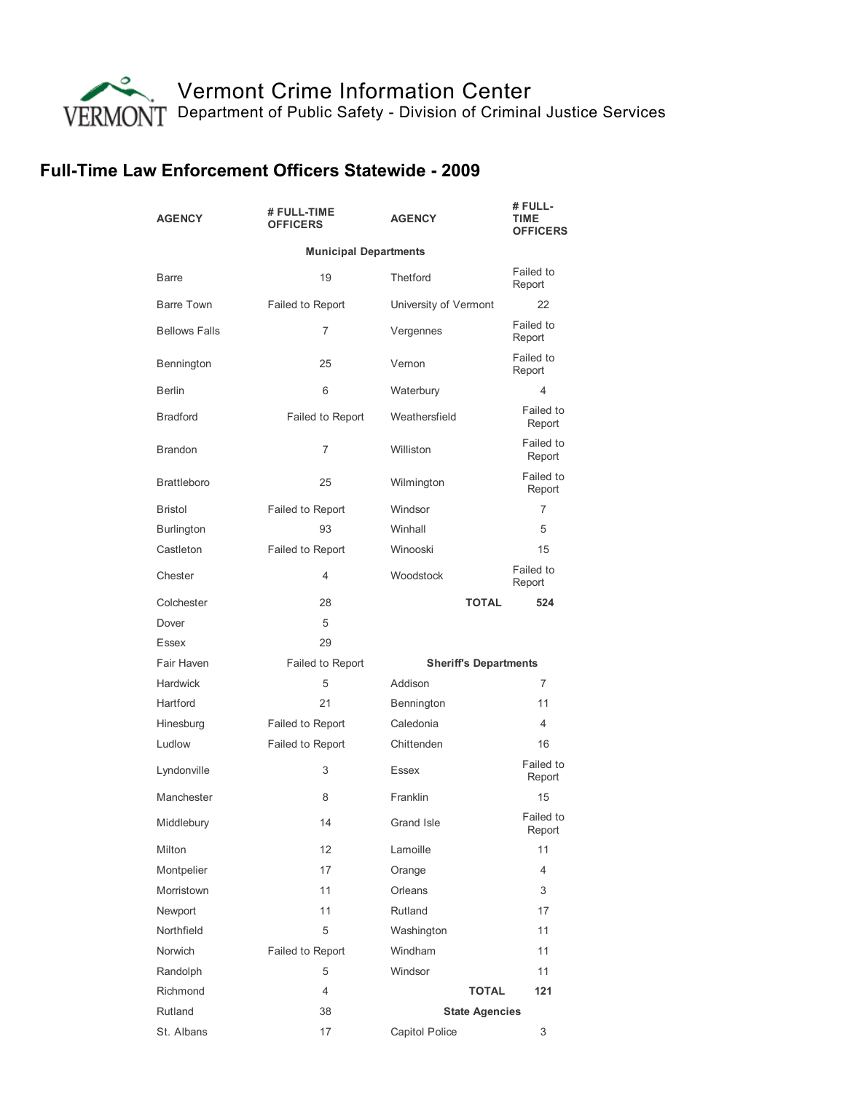Vermont Crime [Information](http://vcic.vermont.gov/) Center [Department](http://dps.vermont.gov/) of Public Safety - Division of Criminal Justice Services

## Full-Time Law Enforcement Officers Statewide - 2009

| <b>AGENCY</b>                | # FULL-TIME<br><b>OFFICERS</b> | <b>AGENCY</b>         |                              | # FULL-<br>TIME<br><b>OFFICERS</b> |  |  |
|------------------------------|--------------------------------|-----------------------|------------------------------|------------------------------------|--|--|
| <b>Municipal Departments</b> |                                |                       |                              |                                    |  |  |
| <b>Barre</b>                 | 19                             | Thetford              |                              | Failed to<br>Report                |  |  |
| <b>Barre Town</b>            | Failed to Report               | University of Vermont |                              | 22                                 |  |  |
| <b>Bellows Falls</b>         | 7                              | Vergennes             |                              | Failed to<br>Report                |  |  |
| Bennington                   | 25                             | Vernon                |                              | Failed to<br>Report                |  |  |
| <b>Berlin</b>                | 6                              | Waterbury             |                              | 4                                  |  |  |
| <b>Bradford</b>              | Failed to Report               | Weathersfield         |                              | Failed to<br>Report                |  |  |
| <b>Brandon</b>               | 7                              | Williston             |                              | Failed to<br>Report                |  |  |
| <b>Brattleboro</b>           | 25                             | Wilmington            |                              | Failed to<br>Report                |  |  |
| <b>Bristol</b>               | Failed to Report               | Windsor               |                              | $\overline{7}$                     |  |  |
| <b>Burlington</b>            | 93                             | Winhall               |                              | 5                                  |  |  |
| Castleton                    | Failed to Report               | Winooski              |                              | 15                                 |  |  |
| Chester                      | 4                              | Woodstock             |                              | Failed to<br>Report                |  |  |
| Colchester                   | 28                             |                       | <b>TOTAL</b>                 | 524                                |  |  |
| Dover                        | 5                              |                       |                              |                                    |  |  |
| <b>Essex</b>                 | 29                             |                       |                              |                                    |  |  |
| Fair Haven                   | Failed to Report               |                       | <b>Sheriff's Departments</b> |                                    |  |  |
| <b>Hardwick</b>              | 5                              | Addison               |                              | $\overline{7}$                     |  |  |
| Hartford                     | 21                             | Bennington            |                              | 11                                 |  |  |
| Hinesburg                    | Failed to Report               | Caledonia             |                              | $\overline{4}$                     |  |  |
| Ludlow                       | Failed to Report               | Chittenden            |                              | 16                                 |  |  |
| Lyndonville                  | 3                              | Essex                 |                              | Failed to<br>Report                |  |  |
| Manchester                   | 8                              | Franklin              |                              | 15                                 |  |  |
| Middlebury                   | 14                             | Grand Isle            |                              | Failed to<br>Report                |  |  |
| Milton                       | 12                             | Lamoille              |                              | 11                                 |  |  |
| Montpelier                   | 17                             | Orange                |                              | $\overline{4}$                     |  |  |
| Morristown                   | 11                             | Orleans               |                              | 3                                  |  |  |
| Newport                      | 11                             | Rutland               |                              | 17                                 |  |  |
| Northfield                   | 5                              | Washington            |                              | 11                                 |  |  |
| Norwich                      | Failed to Report               | Windham               |                              | 11                                 |  |  |
| Randolph                     | 5                              | Windsor               |                              | 11                                 |  |  |
| Richmond                     | 4                              |                       | <b>TOTAL</b>                 | 121                                |  |  |
| Rutland                      | 38                             | <b>State Agencies</b> |                              |                                    |  |  |
| St. Albans                   | 17                             | Capitol Police        |                              | 3                                  |  |  |